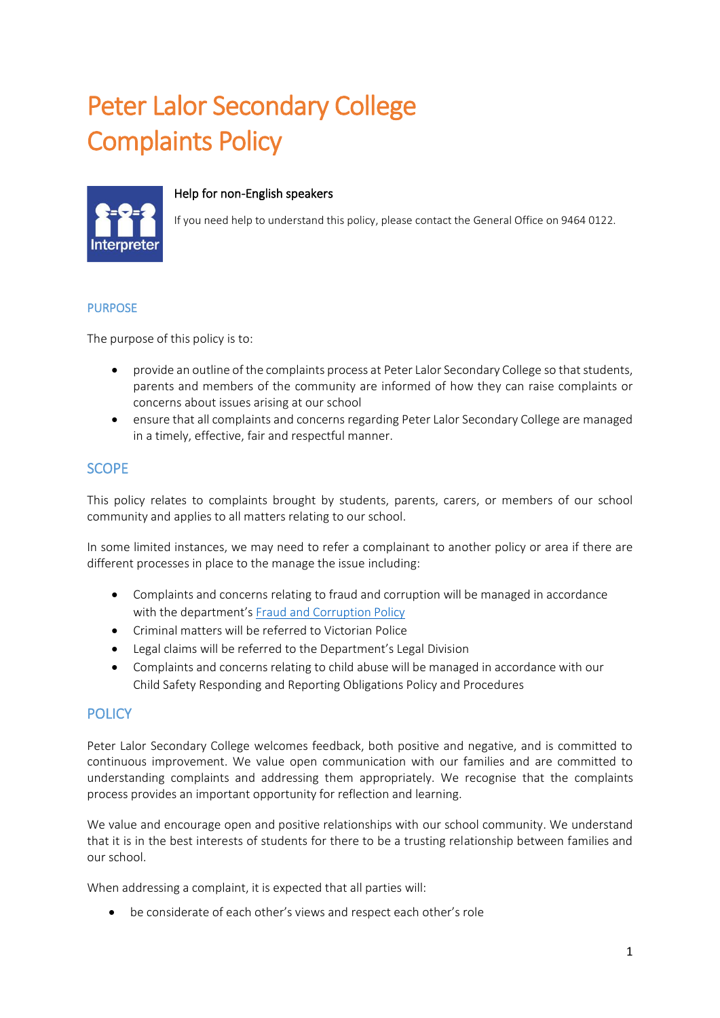# Peter Lalor Secondary College Complaints Policy



#### Help for non-English speakers

If you need help to understand this policy, please contact the General Office on 9464 0122.

#### PURPOSE

The purpose of this policy is to:

- provide an outline of the complaints process at Peter Lalor Secondary College so that students, parents and members of the community are informed of how they can raise complaints or concerns about issues arising at our school
- ensure that all complaints and concerns regarding Peter Lalor Secondary College are managed in a timely, effective, fair and respectful manner.

# **SCOPE**

This policy relates to complaints brought by students, parents, carers, or members of our school community and applies to all matters relating to our school.

In some limited instances, we may need to refer a complainant to another policy or area if there are different processes in place to the manage the issue including:

- Complaints and concerns relating to fraud and corruption will be managed in accordance with the department's [Fraud and Corruption Policy](https://www2.education.vic.gov.au/pal/report-fraud-or-corruption/overview)
- Criminal matters will be referred to Victorian Police
- Legal claims will be referred to the Department's Legal Division
- Complaints and concerns relating to child abuse will be managed in accordance with our Child Safety Responding and Reporting Obligations Policy and Procedures

# **POLICY**

Peter Lalor Secondary College welcomes feedback, both positive and negative, and is committed to continuous improvement. We value open communication with our families and are committed to understanding complaints and addressing them appropriately. We recognise that the complaints process provides an important opportunity for reflection and learning.

We value and encourage open and positive relationships with our school community. We understand that it is in the best interests of students for there to be a trusting relationship between families and our school.

When addressing a complaint, it is expected that all parties will:

• be considerate of each other's views and respect each other's role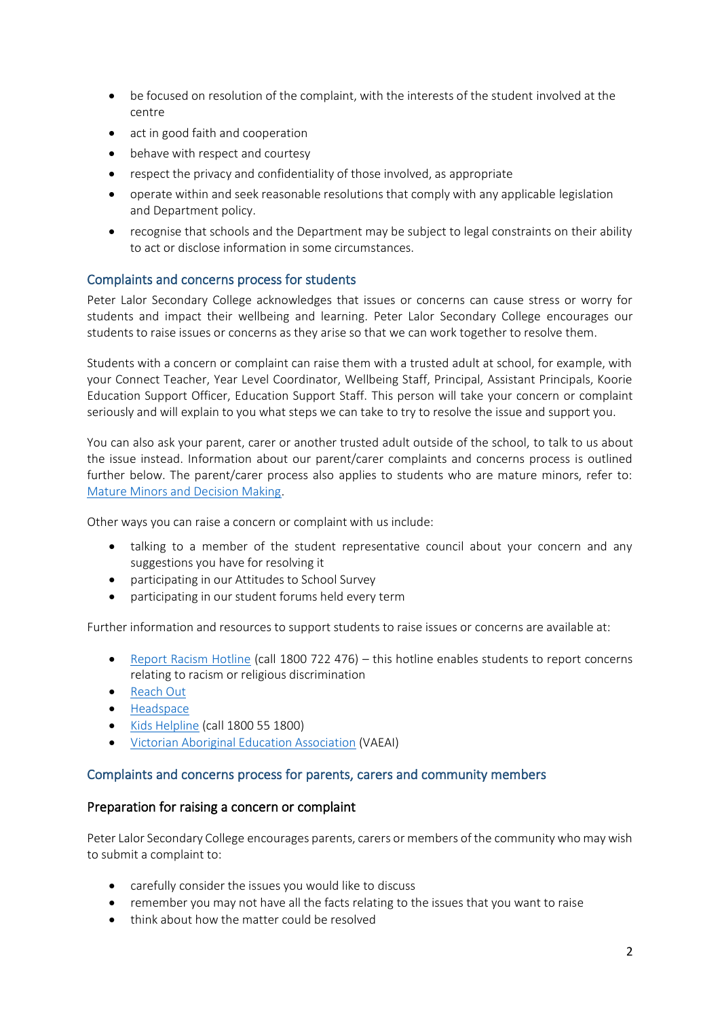- be focused on resolution of the complaint, with the interests of the student involved at the centre
- act in good faith and cooperation
- behave with respect and courtesy
- respect the privacy and confidentiality of those involved, as appropriate
- operate within and seek reasonable resolutions that comply with any applicable legislation and Department policy.
- recognise that schools and the Department may be subject to legal constraints on their ability to act or disclose information in some circumstances.

#### Complaints and concerns process for students

Peter Lalor Secondary College acknowledges that issues or concerns can cause stress or worry for students and impact their wellbeing and learning. Peter Lalor Secondary College encourages our students to raise issues or concerns as they arise so that we can work together to resolve them.

Students with a concern or complaint can raise them with a trusted adult at school, for example, with your Connect Teacher, Year Level Coordinator, Wellbeing Staff, Principal, Assistant Principals, Koorie Education Support Officer, Education Support Staff. This person will take your concern or complaint seriously and will explain to you what steps we can take to try to resolve the issue and support you.

You can also ask your parent, carer or another trusted adult outside of the school, to talk to us about the issue instead. Information about our parent/carer complaints and concerns process is outlined further below. The parent/carer process also applies to students who are mature minors, refer to: [Mature Minors and Decision Making.](https://www2.education.vic.gov.au/pal/mature-minors-and-decision-making/policy)

Other ways you can raise a concern or complaint with us include:

- talking to a member of the student representative council about your concern and any suggestions you have for resolving it
- participating in our Attitudes to School Survey
- participating in our student forums held every term

Further information and resources to support students to raise issues or concerns are available at:

- [Report Racism Hotline](https://www.vic.gov.au/report-racism-or-religious-discrimination-schools) (call 1800 722 476) this hotline enables students to report concerns relating to racism or religious discrimination
- [Reach Out](https://au.reachout.com/?gclid=CjwKCAiAgbiQBhAHEiwAuQ6BktaB5xneGFK3TnOql5c5eZ7af7dDm9ffLZa7N59FEtbtQzVIk8sGWhoC8N0QAvD_BwE)
- [Headspace](https://headspace.org.au/)
- [Kids Helpline](https://kidshelpline.com.au/?gclid=CjwKCAiAgbiQBhAHEiwAuQ6Bkro6UD2EBcRILznFnRhKjfi5I84jJlUa0fyiiYLQ4mHx5sXTStxH8BoCCEIQAvD_BwE) (call 1800 55 1800)
- [Victorian Aboriginal Education Association](https://www.vaeai.org.au/) (VAEAI)

## Complaints and concerns process for parents, carers and community members

#### Preparation for raising a concern or complaint

Peter Lalor Secondary College encourages parents, carers or members of the community who may wish to submit a complaint to:

- carefully consider the issues you would like to discuss
- remember you may not have all the facts relating to the issues that you want to raise
- think about how the matter could be resolved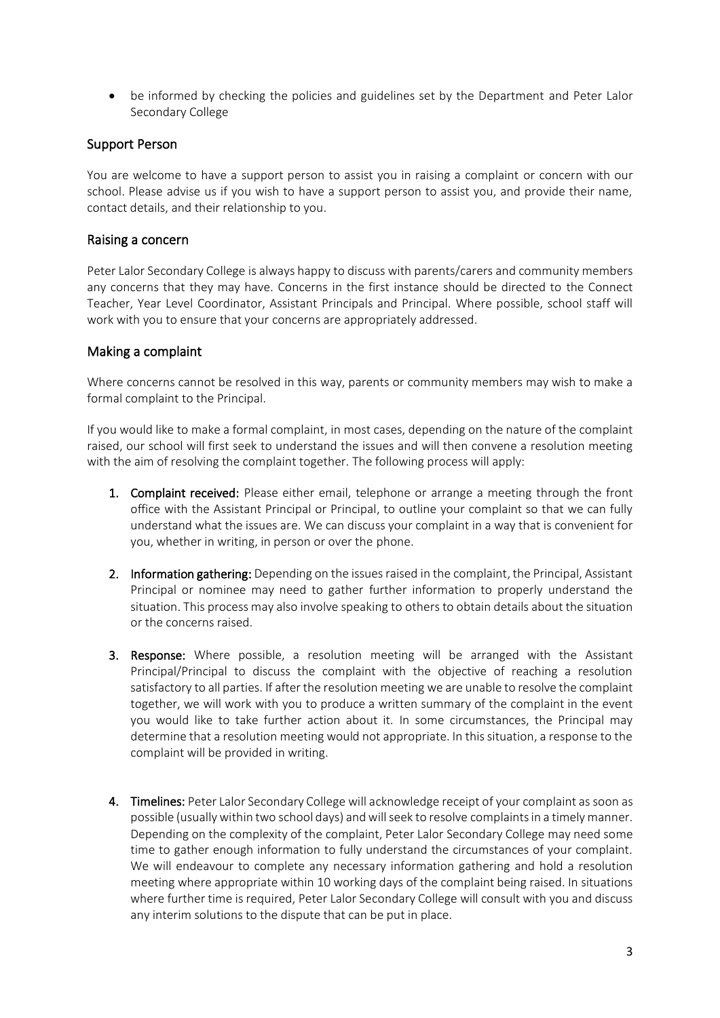• be informed by checking the policies and guidelines set by the Department and Peter Lalor Secondary College

## Support Person

You are welcome to have a support person to assist you in raising a complaint or concern with our school. Please advise us if you wish to have a support person to assist you, and provide their name, contact details, and their relationship to you.

#### Raising a concern

Peter Lalor Secondary College is always happy to discuss with parents/carers and community members any concerns that they may have. Concerns in the first instance should be directed to the Connect Teacher, Year Level Coordinator, Assistant Principals and Principal. Where possible, school staff will work with you to ensure that your concerns are appropriately addressed.

#### Making a complaint

Where concerns cannot be resolved in this way, parents or community members may wish to make a formal complaint to the Principal.

If you would like to make a formal complaint, in most cases, depending on the nature of the complaint raised, our school will first seek to understand the issues and will then convene a resolution meeting with the aim of resolving the complaint together. The following process will apply:

- 1. Complaint received: Please either email, telephone or arrange a meeting through the front office with the Assistant Principal or Principal, to outline your complaint so that we can fully understand what the issues are. We can discuss your complaint in a way that is convenient for you, whether in writing, in person or over the phone.
- 2. Information gathering: Depending on the issues raised in the complaint, the Principal, Assistant Principal or nominee may need to gather further information to properly understand the situation. This process may also involve speaking to others to obtain details about the situation or the concerns raised.
- 3. Response: Where possible, a resolution meeting will be arranged with the Assistant Principal/Principal to discuss the complaint with the objective of reaching a resolution satisfactory to all parties. If after the resolution meeting we are unable to resolve the complaint together, we will work with you to produce a written summary of the complaint in the event you would like to take further action about it. In some circumstances, the Principal may determine that a resolution meeting would not appropriate. In this situation, a response to the complaint will be provided in writing.
- 4. Timelines: Peter Lalor Secondary College will acknowledge receipt of your complaint as soon as possible (usually within two school days) and will seek to resolve complaints in a timely manner. Depending on the complexity of the complaint, Peter Lalor Secondary College may need some time to gather enough information to fully understand the circumstances of your complaint. We will endeavour to complete any necessary information gathering and hold a resolution meeting where appropriate within 10 working days of the complaint being raised. In situations where further time is required, Peter Lalor Secondary College will consult with you and discuss any interim solutions to the dispute that can be put in place.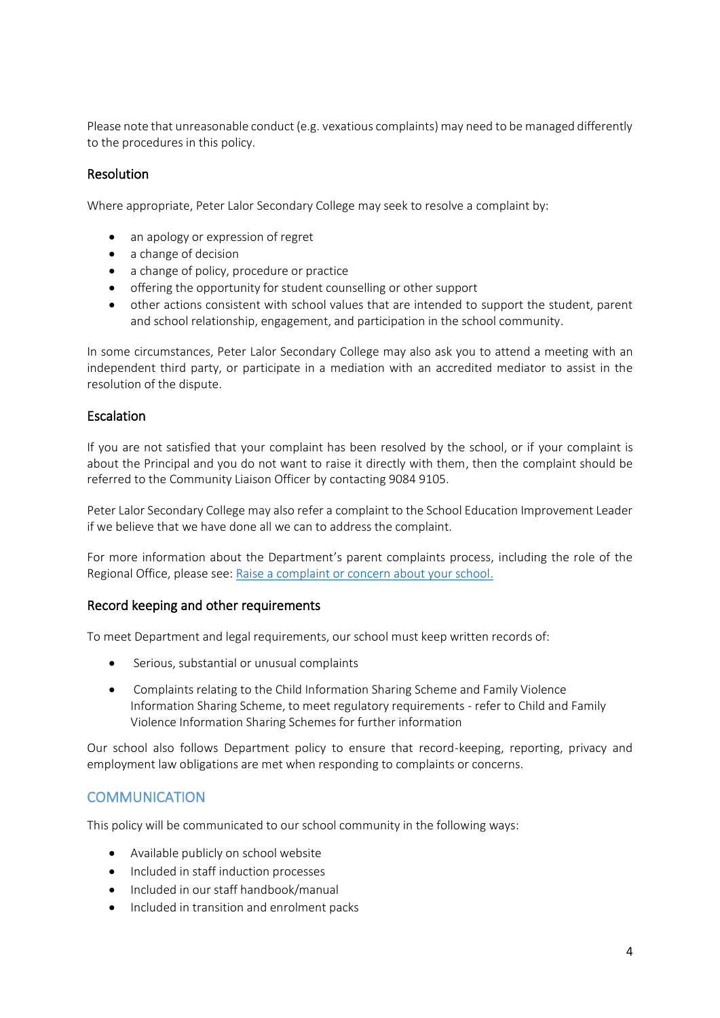Please note that unreasonable conduct (e.g. vexatious complaints) may need to be managed differently to the procedures in this policy.

## Resolution

Where appropriate, Peter Lalor Secondary College may seek to resolve a complaint by:

- an apology or expression of regret
- a change of decision
- a change of policy, procedure or practice
- offering the opportunity for student counselling or other support
- other actions consistent with school values that are intended to support the student, parent and school relationship, engagement, and participation in the school community.

In some circumstances, Peter Lalor Secondary College may also ask you to attend a meeting with an independent third party, or participate in a mediation with an accredited mediator to assist in the resolution of the dispute.

## Escalation

If you are not satisfied that your complaint has been resolved by the school, or if your complaint is about the Principal and you do not want to raise it directly with them, then the complaint should be referred to the Community Liaison Officer by contacting 9084 9105.

Peter Lalor Secondary College may also refer a complaint to the School Education Improvement Leader if we believe that we have done all we can to address the complaint.

For more information about the Department's parent complaints process, including the role of the Regional Office, please see: [Raise a complaint or concern about your school.](https://www.vic.gov.au/raise-complaint-or-concern-about-your-school#speaking-to-your-school)

## Record keeping and other requirements

To meet Department and legal requirements, our school must keep written records of:

- Serious, substantial or unusual complaints
- Complaints relating to the Child Information Sharing Scheme and Family Violence Information Sharing Scheme, to meet regulatory requirements - refer to Child and Family Violence Information Sharing Schemes for further information

Our school also follows Department policy to ensure that record-keeping, reporting, privacy and employment law obligations are met when responding to complaints or concerns.

# **COMMUNICATION**

This policy will be communicated to our school community in the following ways:

- Available publicly on school website
- Included in staff induction processes
- Included in our staff handbook/manual
- Included in transition and enrolment packs